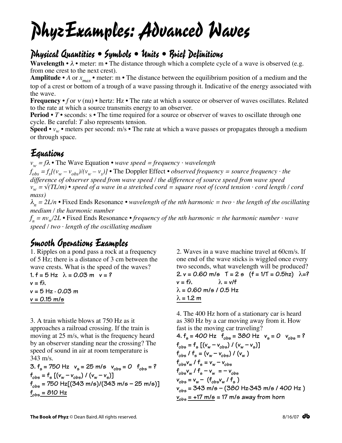# PhyzExamples: Advanced Waves

# Physical Quantities • Symbols • Units • Brief Definitions

**Wavelength •**  $\lambda$  • meter: m • The distance through which a complete cycle of a wave is observed (e.g. from one crest to the next crest).

**Amplitude** • *A* or  $x_{max}$  • meter: m • The distance between the equilibrium position of a medium and the top of a crest or bottom of a trough of a wave passing through it. Indicative of the energy associated with the wave.

**Frequency** • *f* or  $v$  (nu) • hertz: Hz • The rate at which a source or observer of waves oscillates. Related to the rate at which a source transmits energy to an observer.

**Period** • *T* • seconds: s • The time required for a source or observer of waves to oscillate through one cycle. Be careful: *T* also represents tension.

**Speed** •  $v_w$  • meters per second: m/s • The rate at which a wave passes or propagates through a medium or through space.

### Equations

*vw = f*<sup>λ</sup> *•* The Wave Equation *• wave speed = frequency · wavelength*

 $f_{obs} = f_s[(v_w - v_{obs})/(v_w - v_s)]$  • The Doppler Effect • *observed frequency = source frequency* · the *difference of observer speed from wave speed / the difference of source speed from wave speed*  $v_w = \sqrt{\frac{T L}{m}}$  • speed of a wave in a stretched cord = square root of (cord tension  $\cdot$  cord length / cord *mass)*

 $\lambda_n = 2L/n$  • Fixed Ends Resonance • wavelength of the nth harmonic = two · the length of the oscillating *medium / the harmonic number*

*f <sup>n</sup> = nvw/2L •* Fixed Ends Resonance *• frequency of the nth harmonic = the harmonic number · wave speed / two · length of the oscillating medium*

## Smooth Operations Examples

1. Ripples on a pond pass a rock at a frequency of 5 Hz; there is a distance of 3 cm between the wave crests. What is the speed of the waves?

 $1. f = 5 Hz$   $\lambda = 0.03 m$   $v = ?$  $v = f\lambda$ **v = 5 Hz · 0.03 m v = 0.15 m/s**

3. A train whistle blows at 750 Hz as it

approaches a railroad crossing. If the train is moving at 25 m/s, what is the frequency heard by an observer standing near the crossing? The speed of sound in air at room temperature is 343 m/s.

**3.**  $f_s = 750$  Hz  $v_s = 25$  m/s  $v_{obs} = 0$   $f_{obs} = ?$  $f_{obs} = f_{s}$   $[(v_{w} - v_{obs}) / (v_{w} - v_{s})]$ **fobs = 750 Hz[(343 m/s)/(343 m/s – 25 m/s)]**  $f_{obs} = 810 \text{ Hz}$ 

2. Waves in a wave machine travel at 60cm/s. If one end of the wave sticks is wiggled once every two seconds, what wavelength will be produced? **2. v = 0.60 m/s T = 2 s (f = 1/T = 0.5hz)** λ**=?**  $v = f\lambda$   $\lambda = v/f$ λ **= 0.60 m/s / 0.5 Hz** λ **= 1.2 m**

4. The 400 Hz horn of a stationary car is heard as 380 Hz by a car moving away from it. How fast is the moving car traveling?

**4.**  $f_s = 400$  Hz  $f_{obs} = 380$  Hz  $v_s = 0$   $v_{obs} = ?$  $f_{obs} = f_{s} [(v_{w} - v_{obs}) / (v_{w} - v_{s})]$  $f_{obs}$  /  $f_{s} = (v_{w} - v_{obs})$  /  $(v_{w})$  $f_{obs}v_w$  /  $f_s = v_w - v_{obs}$  $f_{obs}v_w$  /  $f_s - v_w = -v_{obs}$  $v_{obs} = v_w - (\mathbf{f}_{obs} v_w / \mathbf{f}_s)$ **vobs = 343 m/s – (380 Hz·343 m/s / 400 Hz )**  $v_{obs} = +17$  m/s = 17 m/s away from horn